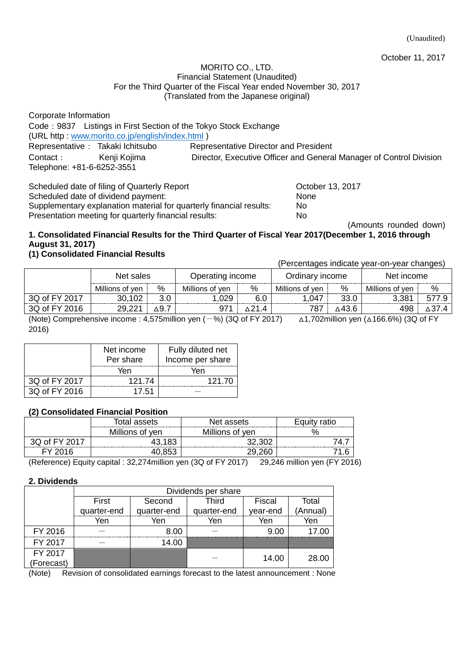October 11, 2017

#### MORITO CO., LTD. Financial Statement (Unaudited) For the Third Quarter of the Fiscal Year ended November 30, 2017 (Translated from the Japanese original)

Corporate Information Code:9837 Listings in First Section of the Tokyo Stock Exchange (URL http : [www.morito.co.jp/english/index.html](http://www.morito.co.jp/english/index.html) ) Representative: Takaki Ichitsubo Representative Director and President Contact: Kenji Kojima Director, Executive Officer and General Manager of Control Division Telephone: +81-6-6252-3551

Scheduled date of filing of Quarterly Report Changes Corober 13, 2017 Scheduled date of dividend payment: None Supplementary explanation material for quarterly financial results: No Presentation meeting for quarterly financial results: No

(Amounts rounded down)

## **1. Consolidated Financial Results for the Third Quarter of Fiscal Year 2017(December 1, 2016 through August 31, 2017)**

## **(1) Consolidated Financial Results**

(Percentages indicate year-on-year changes)

|                                                                                                                                          | Net sales       |                 | Operating income |     | Ordinary income |       | Net income      |   |
|------------------------------------------------------------------------------------------------------------------------------------------|-----------------|-----------------|------------------|-----|-----------------|-------|-----------------|---|
|                                                                                                                                          | Millions of yen | %               | Millions of ven  | %   | Millions of ven | %     | Millions of ven | % |
| 3Q of FY 2017                                                                                                                            | 30,102          |                 | .029             | 6.C | . .047          | 33.0  | 3,381           |   |
| 3Q of FY 2016                                                                                                                            | 29.221          | $\triangle$ 9.7 |                  |     | 787             | ∆43.6 | 498             |   |
| (Note) Comprehensive income $\pm$ 4.575 million ven ( $-$ %) (30 of EV 2017)<br>$\lambda$ 1.702million van ( $\lambda$ 166.6%) (30 of FV |                 |                 |                  |     |                 |       |                 |   |

omprehensive income : 4,575million yen ( $-$ %) (3Q of FY 2017)  $\;$   $\;$  ∆1,702million yen (∆166.6%) (3Q of FY 2016)

|               | Net income | Fully diluted net |
|---------------|------------|-------------------|
|               | Per share  | Income per share  |
|               | Yen        | Yen               |
| 3Q of FY 2017 | 121.74     | 121.70            |
| 3Q of FY 2016 | 17.51      |                   |

### **(2) Consolidated Financial Position**

|                 | Total assets | Net assets      | Equity ratio |  |
|-----------------|--------------|-----------------|--------------|--|
| Millions of yen |              | Millions of yen | %            |  |
| 30 of EV 2017   | 43,183       | ാറ റററ          | . .          |  |
| FY 2016         | $\cdot$ 852. | 29.26C          |              |  |

(Reference) Equity capital : 32,274million yen (3Q of FY 2017) 29,246 million yen (FY 2016)

### **2. Dividends**

|            | Dividends per share |             |              |          |          |  |  |  |
|------------|---------------------|-------------|--------------|----------|----------|--|--|--|
|            | First               | Second      | <b>Third</b> |          | Total    |  |  |  |
|            | quarter-end         | quarter-end | quarter-end  | year-end | (Annual) |  |  |  |
|            | Yen                 | Yen         | Yen          | Yen      | Yen      |  |  |  |
| FY 2016    |                     | 8.00        |              | 9.00     |          |  |  |  |
| FY 2017    |                     | 14.00       |              |          |          |  |  |  |
| FY 2017    |                     |             |              | 14.00    | 28.00    |  |  |  |
| (Forecast) |                     |             |              |          |          |  |  |  |

(Note) Revision of consolidated earnings forecast to the latest announcement : None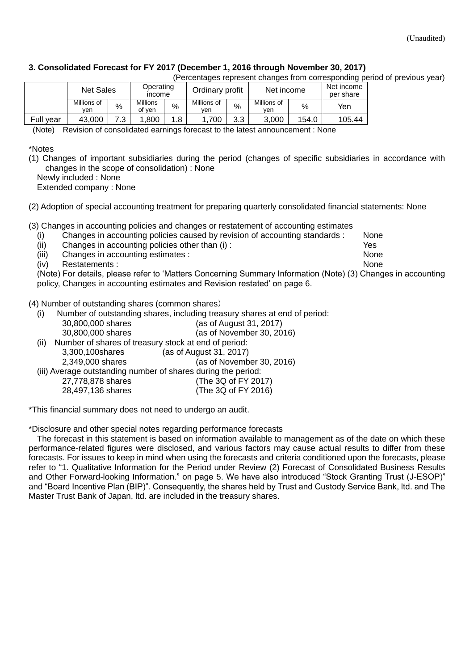## **3. Consolidated Forecast for FY 2017 (December 1, 2016 through November 30, 2017)**

(Percentages represent changes from corresponding period of previous year)

|              | <b>Net Sales</b>   |      | Operating<br>income       |    | Ordinary profit    |      | Net income         |       | . .<br>Net income<br>per share |
|--------------|--------------------|------|---------------------------|----|--------------------|------|--------------------|-------|--------------------------------|
|              | Millions of<br>ven | $\%$ | <b>Millions</b><br>of ven | %  | Millions of<br>ven | $\%$ | Millions of<br>ven | %     | Yen                            |
| Full<br>vear | 43.000             | - כי | .800                      | .8 | .700               | 3.3  | 3.000              | 154.0 | 105.44                         |

(Note) Revision of consolidated earnings forecast to the latest announcement : None

#### \*Notes

(1) Changes of important subsidiaries during the period (changes of specific subsidiaries in accordance with changes in the scope of consolidation) : None

Newly included : None

Extended company : None

(2) Adoption of special accounting treatment for preparing quarterly consolidated financial statements: None

(3) Changes in accounting policies and changes or restatement of accounting estimates

- (i) Changes in accounting policies caused by revision of accounting standards : None
- (ii) Changes in accounting policies other than (i) : Yes
- (iii) Changes in accounting estimates : None

(iv) Restatements : None

(Note) For details, please refer to 'Matters Concerning Summary Information (Note) (3) Changes in accounting policy, Changes in accounting estimates and Revision restated' on page 6.

(4) Number of outstanding shares (common shares)

- (i) Number of outstanding shares, including treasury shares at end of period:
	- 30,800,000 shares (as of August 31, 2017)
	- 30,800,000 shares (as of November 30, 2016)
- (ii) Number of shares of treasury stock at end of period: 3,300,100shares (as of August 31, 2017) 2,349,000 shares (as of November 30, 2016) (iii) Average outstanding number of shares during the period:
- 27,778,878 shares (The 3Q of FY 2017) 28,497,136 shares (The 3Q of FY 2016)

\*This financial summary does not need to undergo an audit.

\*Disclosure and other special notes regarding performance forecasts

The forecast in this statement is based on information available to management as of the date on which these performance-related figures were disclosed, and various factors may cause actual results to differ from these forecasts. For issues to keep in mind when using the forecasts and criteria conditioned upon the forecasts, please refer to ["1. Qualitative Information for the Period under](#page-3-0) Review (2) Forecast of Consolidated Business Results and Other Forward-looking Information." on page 5. We have also introduced "Stock Granting Trust (J-ESOP)" and "Board Incentive Plan (BIP)". Consequently, the shares held by Trust and Custody Service Bank, ltd. and The Master Trust Bank of Japan, ltd. are included in the treasury shares.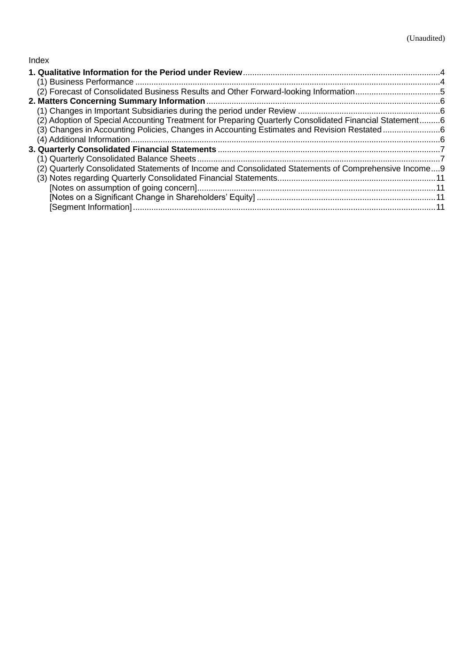## Index

| (2) Forecast of Consolidated Business Results and Other Forward-looking Information5                   |  |
|--------------------------------------------------------------------------------------------------------|--|
|                                                                                                        |  |
|                                                                                                        |  |
| (2) Adoption of Special Accounting Treatment for Preparing Quarterly Consolidated Financial Statement6 |  |
| (3) Changes in Accounting Policies, Changes in Accounting Estimates and Revision Restated6             |  |
|                                                                                                        |  |
|                                                                                                        |  |
|                                                                                                        |  |
| (2) Quarterly Consolidated Statements of Income and Consolidated Statements of Comprehensive Income9   |  |
|                                                                                                        |  |
|                                                                                                        |  |
|                                                                                                        |  |
|                                                                                                        |  |
|                                                                                                        |  |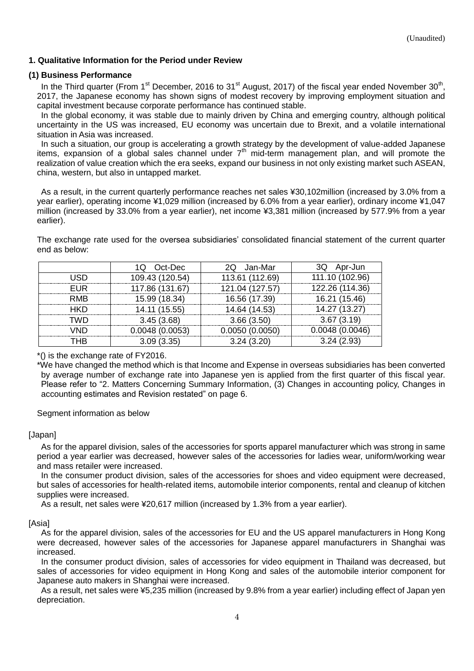## <span id="page-3-0"></span>**1. Qualitative Information for the Period under Review**

#### <span id="page-3-1"></span>**(1) Business Performance**

In the Third quarter (From 1<sup>st</sup> December, 2016 to 31<sup>st</sup> August, 2017) of the fiscal year ended November 30<sup>th</sup>, 2017, the Japanese economy has shown signs of modest recovery by improving employment situation and capital investment because corporate performance has continued stable.

In the global economy, it was stable due to mainly driven by China and emerging country, although political uncertainty in the US was increased, EU economy was uncertain due to Brexit, and a volatile international situation in Asia was increased.

In such a situation, our group is accelerating a growth strategy by the development of value-added Japanese items, expansion of a global sales channel under  $7<sup>th</sup>$  mid-term management plan, and will promote the realization of value creation which the era seeks, expand our business in not only existing market such ASEAN, china, western, but also in untapped market.

As a result, in the current quarterly performance reaches net sales ¥30,102million (increased by 3.0% from a year earlier), operating income ¥1,029 million (increased by 6.0% from a year earlier), ordinary income ¥1,047 million (increased by 33.0% from a year earlier), net income ¥3,381 million (increased by 577.9% from a year earlier).

The exchange rate used for the oversea subsidiaries' consolidated financial statement of the current quarter end as below:

|            | 1Q Oct-Dec      | 2Q Jan-Mar      | 3Q Apr-Jun      |
|------------|-----------------|-----------------|-----------------|
| USD        | 109.43 (120.54) | 113.61 (112.69) | 111.10 (102.96) |
| FUR        | 117.86 (131.67) | 121.04 (127.57) | 122.26 (114.36) |
| <b>RMB</b> | 15.99 (18.34)   | 16.56 (17.39)   | 16.21 (15.46)   |
| HKD        | 14.11 (15.55)   | 14.64 (14.53)   | 14.27 (13.27)   |
| TWD        | 3.45(3.68)      | 3.66(3.50)      | 3.67(3.19)      |
| VND        | 0.0048(0.0053)  | 0.0050(0.0050)  | 0.0048(0.0046)  |
| THB        | 3.09(3.35)      | 3.24(3.20)      | 3.24(2.93)      |

\*() is the exchange rate of FY2016.

\*We have changed the method which is that Income and Expense in overseas subsidiaries has been converted by average number of exchange rate into Japanese yen is applied from the first quarter of this fiscal year. Please refer to "2. Matters Concerning Summary Information, (3) Changes in accounting policy, Changes in accounting estimates and Revision restated" on page 6.

Segment information as below

### [Japan]

As for the apparel division, sales of the accessories for sports apparel manufacturer which was strong in same period a year earlier was decreased, however sales of the accessories for ladies wear, uniform/working wear and mass retailer were increased.

In the consumer product division, sales of the accessories for shoes and video equipment were decreased, but sales of accessories for health-related items, automobile interior components, rental and cleanup of kitchen supplies were increased.

As a result, net sales were ¥20,617 million (increased by 1.3% from a year earlier).

### [Asia]

As for the apparel division, sales of the accessories for EU and the US apparel manufacturers in Hong Kong were decreased, however sales of the accessories for Japanese apparel manufacturers in Shanghai was increased.

In the consumer product division, sales of accessories for video equipment in Thailand was decreased, but sales of accessories for video equipment in Hong Kong and sales of the automobile interior component for Japanese auto makers in Shanghai were increased.

As a result, net sales were ¥5,235 million (increased by 9.8% from a year earlier) including effect of Japan yen depreciation.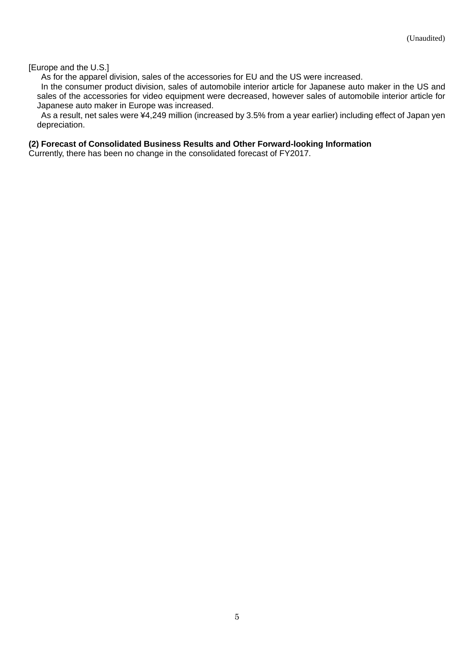#### [Europe and the U.S.]

As for the apparel division, sales of the accessories for EU and the US were increased.

In the consumer product division, sales of automobile interior article for Japanese auto maker in the US and sales of the accessories for video equipment were decreased, however sales of automobile interior article for Japanese auto maker in Europe was increased.

As a result, net sales were ¥4,249 million (increased by 3.5% from a year earlier) including effect of Japan yen depreciation.

#### <span id="page-4-0"></span>**(2) Forecast of Consolidated Business Results and Other Forward-looking Information**

Currently, there has been no change in the consolidated forecast of FY2017.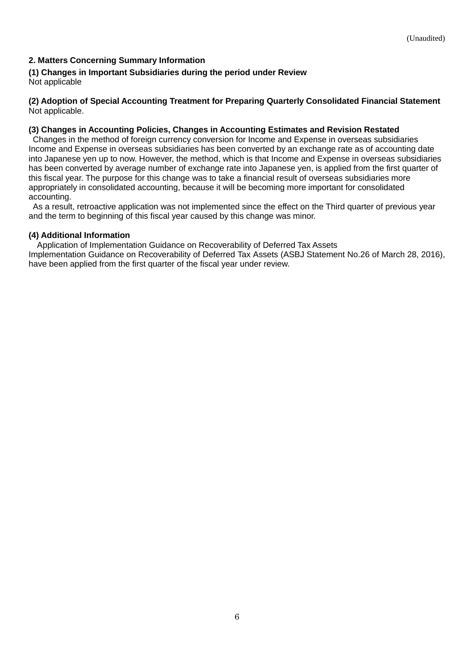## <span id="page-5-0"></span>**2. Matters Concerning Summary Information**

<span id="page-5-1"></span>**(1) Changes in Important Subsidiaries during the period under Review** Not applicable

<span id="page-5-2"></span>**(2) Adoption of Special Accounting Treatment for Preparing Quarterly Consolidated Financial Statement** Not applicable.

### <span id="page-5-3"></span>**(3) Changes in Accounting Policies, Changes in Accounting Estimates and Revision Restated**

Changes in the method of foreign currency conversion for Income and Expense in overseas subsidiaries Income and Expense in overseas subsidiaries has been converted by an exchange rate as of accounting date into Japanese yen up to now. However, the method, which is that Income and Expense in overseas subsidiaries has been converted by average number of exchange rate into Japanese yen, is applied from the first quarter of this fiscal year. The purpose for this change was to take a financial result of overseas subsidiaries more appropriately in consolidated accounting, because it will be becoming more important for consolidated accounting.

As a result, retroactive application was not implemented since the effect on the Third quarter of previous year and the term to beginning of this fiscal year caused by this change was minor.

## <span id="page-5-4"></span>**(4) Additional Information**

Application of Implementation Guidance on Recoverability of Deferred Tax Assets Implementation Guidance on Recoverability of Deferred Tax Assets (ASBJ Statement No.26 of March 28, 2016), have been applied from the first quarter of the fiscal year under review.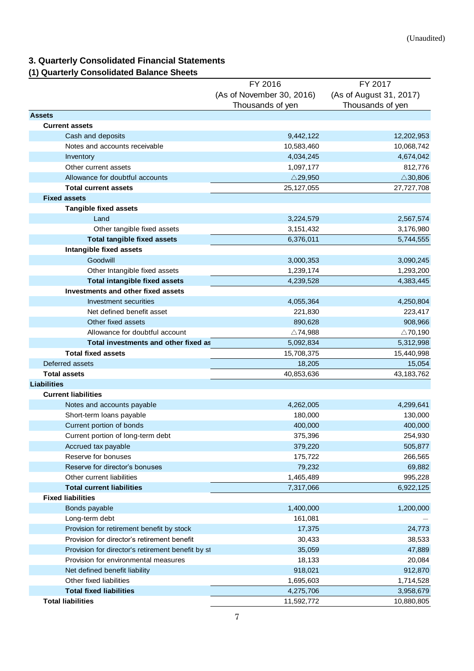# <span id="page-6-0"></span>**3. Quarterly Consolidated Financial Statements**

# <span id="page-6-1"></span>**(1) Quarterly Consolidated Balance Sheets**

|                                                   | FY 2016                   | FY 2017                 |
|---------------------------------------------------|---------------------------|-------------------------|
|                                                   | (As of November 30, 2016) | (As of August 31, 2017) |
|                                                   | Thousands of yen          | Thousands of yen        |
| <b>Assets</b>                                     |                           |                         |
| <b>Current assets</b>                             |                           |                         |
| Cash and deposits                                 | 9,442,122                 | 12,202,953              |
| Notes and accounts receivable                     | 10,583,460                | 10,068,742              |
| Inventory                                         | 4,034,245                 | 4,674,042               |
| Other current assets                              | 1,097,177                 | 812,776                 |
| Allowance for doubtful accounts                   | $\triangle$ 29,950        | $\triangle$ 30,806      |
| <b>Total current assets</b>                       | 25, 127, 055              | 27,727,708              |
| <b>Fixed assets</b>                               |                           |                         |
| <b>Tangible fixed assets</b>                      |                           |                         |
| Land                                              | 3,224,579                 | 2,567,574               |
| Other tangible fixed assets                       | 3,151,432                 | 3,176,980               |
| <b>Total tangible fixed assets</b>                | 6,376,011                 | 5,744,555               |
| Intangible fixed assets                           |                           |                         |
| Goodwill                                          | 3,000,353                 | 3,090,245               |
| Other Intangible fixed assets                     | 1,239,174                 | 1,293,200               |
| <b>Total intangible fixed assets</b>              | 4,239,528                 | 4,383,445               |
| Investments and other fixed assets                |                           |                         |
| Investment securities                             | 4,055,364                 | 4,250,804               |
| Net defined benefit asset                         | 221,830                   | 223,417                 |
| Other fixed assets                                | 890,628                   | 908,966                 |
| Allowance for doubtful account                    | $\triangle$ 74,988        | $\triangle$ 70,190      |
| Total investments and other fixed as              | 5,092,834                 | 5,312,998               |
| <b>Total fixed assets</b>                         | 15,708,375                | 15,440,998              |
| Deferred assets                                   | 18,205                    | 15,054                  |
| <b>Total assets</b>                               | 40,853,636                | 43, 183, 762            |
| <b>Liabilities</b>                                |                           |                         |
| <b>Current liabilities</b>                        |                           |                         |
| Notes and accounts payable                        | 4,262,005                 | 4,299,641               |
| Short-term loans payable                          | 180,000                   | 130,000                 |
| Current portion of bonds                          | 400,000                   | 400,000                 |
| Current portion of long-term debt                 | 375,396                   | 254,930                 |
| Accrued tax payable                               | 379,220                   | 505,877                 |
| Reserve for bonuses                               | 175,722                   | 266,565                 |
| Reserve for director's bonuses                    | 79,232                    | 69,882                  |
| Other current liabilities                         | 1,465,489                 | 995,228                 |
| <b>Total current liabilities</b>                  | 7,317,066                 | 6,922,125               |
| <b>Fixed liabilities</b>                          |                           |                         |
| Bonds payable                                     | 1,400,000                 | 1,200,000               |
| Long-term debt                                    | 161,081                   |                         |
| Provision for retirement benefit by stock         | 17,375                    | 24,773                  |
| Provision for director's retirement benefit       | 30,433                    | 38,533                  |
| Provision for director's retirement benefit by st | 35,059                    | 47,889                  |
| Provision for environmental measures              | 18,133                    | 20,084                  |
| Net defined benefit liability                     | 918,021                   | 912,870                 |
| Other fixed liabilities                           | 1,695,603                 | 1,714,528               |
| <b>Total fixed liabilities</b>                    | 4,275,706                 | 3,958,679               |
| <b>Total liabilities</b>                          | 11,592,772                | 10,880,805              |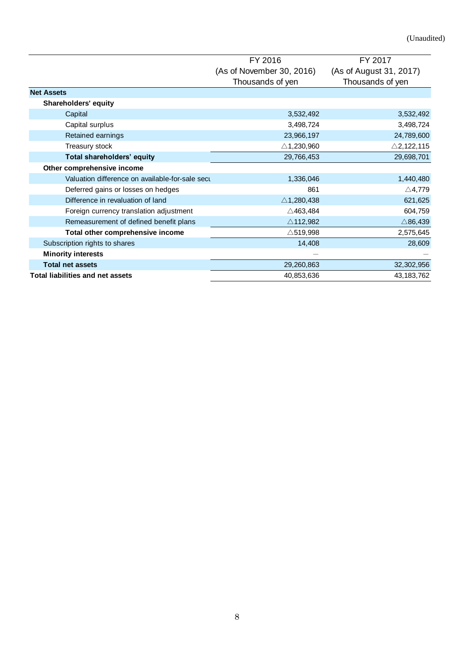|                                                 | FY 2016                   | FY 2017                 |
|-------------------------------------------------|---------------------------|-------------------------|
|                                                 | (As of November 30, 2016) | (As of August 31, 2017) |
|                                                 | Thousands of yen          | Thousands of yen        |
| <b>Net Assets</b>                               |                           |                         |
| <b>Shareholders' equity</b>                     |                           |                         |
| Capital                                         | 3,532,492                 | 3,532,492               |
| Capital surplus                                 | 3,498,724                 | 3,498,724               |
| Retained earnings                               | 23,966,197                | 24,789,600              |
| Treasury stock                                  | $\triangle$ 1,230,960     | $\triangle$ 2,122,115   |
| Total shareholders' equity                      | 29,766,453                | 29,698,701              |
| Other comprehensive income                      |                           |                         |
| Valuation difference on available-for-sale secu | 1,336,046                 | 1,440,480               |
| Deferred gains or losses on hedges              | 861                       | $\triangle$ 4,779       |
| Difference in revaluation of land               | $\triangle$ 1,280,438     | 621,625                 |
| Foreign currency translation adjustment         | $\triangle$ 463,484       | 604,759                 |
| Remeasurement of defined benefit plans          | $\triangle$ 112,982       | $\triangle$ 86,439      |
| Total other comprehensive income                | $\triangle$ 519,998       | 2,575,645               |
| Subscription rights to shares                   | 14,408                    | 28,609                  |
| <b>Minority interests</b>                       |                           |                         |
| <b>Total net assets</b>                         | 29,260,863                | 32,302,956              |
| <b>Total liabilities and net assets</b>         | 40,853,636                | 43,183,762              |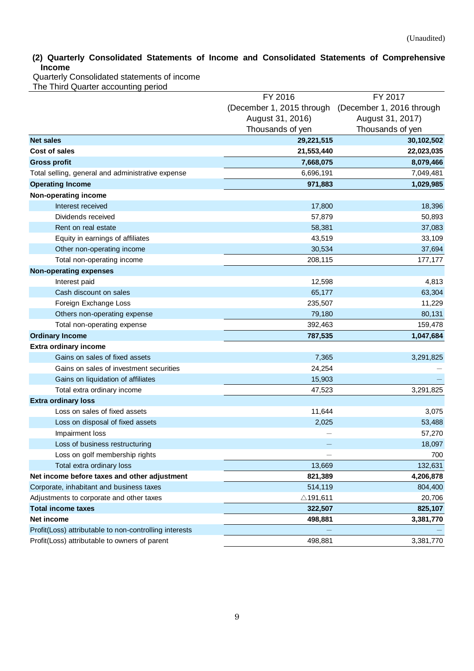# <span id="page-8-0"></span>**(2) Quarterly Consolidated Statements of Income and Consolidated Statements of Comprehensive Income**

Quarterly Consolidated statements of income The Third Quarter accounting period

|                                                        | FY 2016                   | FY 2017                   |
|--------------------------------------------------------|---------------------------|---------------------------|
|                                                        | (December 1, 2015 through | (December 1, 2016 through |
|                                                        | August 31, 2016)          | August 31, 2017)          |
|                                                        | Thousands of yen          | Thousands of yen          |
| <b>Net sales</b>                                       | 29,221,515                | 30,102,502                |
| Cost of sales                                          | 21,553,440                | 22,023,035                |
| <b>Gross profit</b>                                    | 7,668,075                 | 8,079,466                 |
| Total selling, general and administrative expense      | 6,696,191                 | 7,049,481                 |
| <b>Operating Income</b>                                | 971,883                   | 1,029,985                 |
| Non-operating income                                   |                           |                           |
| Interest received                                      | 17,800                    | 18,396                    |
| Dividends received                                     | 57,879                    | 50,893                    |
| Rent on real estate                                    | 58,381                    | 37,083                    |
| Equity in earnings of affiliates                       | 43,519                    | 33,109                    |
| Other non-operating income                             | 30,534                    | 37,694                    |
| Total non-operating income                             | 208,115                   | 177,177                   |
| <b>Non-operating expenses</b>                          |                           |                           |
| Interest paid                                          | 12,598                    | 4,813                     |
| Cash discount on sales                                 | 65,177                    | 63,304                    |
| Foreign Exchange Loss                                  | 235,507                   | 11,229                    |
| Others non-operating expense                           | 79,180                    | 80,131                    |
| Total non-operating expense                            | 392,463                   | 159,478                   |
| <b>Ordinary Income</b>                                 | 787,535                   | 1,047,684                 |
| <b>Extra ordinary income</b>                           |                           |                           |
| Gains on sales of fixed assets                         | 7,365                     | 3,291,825                 |
| Gains on sales of investment securities                | 24,254                    |                           |
| Gains on liquidation of affiliates                     | 15,903                    |                           |
| Total extra ordinary income                            | 47,523                    | 3,291,825                 |
| <b>Extra ordinary loss</b>                             |                           |                           |
| Loss on sales of fixed assets                          | 11,644                    | 3,075                     |
| Loss on disposal of fixed assets                       | 2,025                     | 53,488                    |
| Impairment loss                                        |                           | 57,270                    |
| Loss of business restructuring                         |                           | 18,097                    |
| Loss on golf membership rights                         |                           | 700                       |
| Total extra ordinary loss                              | 13,669                    | 132,631                   |
| Net income before taxes and other adjustment           | 821,389                   | 4,206,878                 |
| Corporate, inhabitant and business taxes               | 514,119                   | 804,400                   |
| Adjustments to corporate and other taxes               | $\triangle$ 191,611       | 20,706                    |
| <b>Total income taxes</b>                              | 322,507                   | 825,107                   |
| Net income                                             | 498,881                   | 3,381,770                 |
| Profit(Loss) attributable to non-controlling interests |                           |                           |
| Profit(Loss) attributable to owners of parent          | 498,881                   | 3,381,770                 |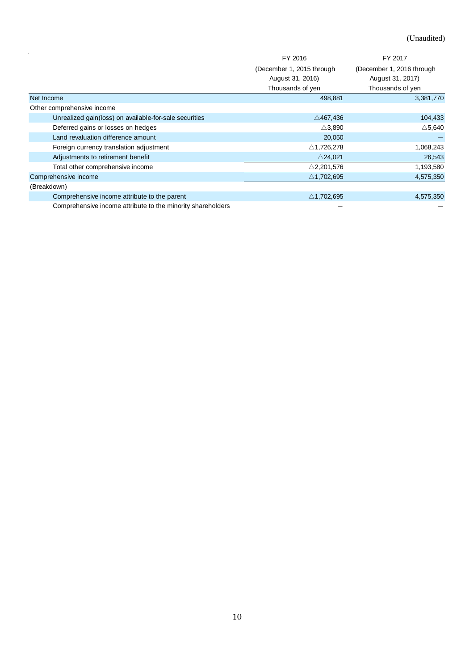(Unaudited)

|                                                             | FY 2016                   | FY 2017                   |
|-------------------------------------------------------------|---------------------------|---------------------------|
|                                                             | (December 1, 2015 through | (December 1, 2016 through |
|                                                             | August 31, 2016)          | August 31, 2017)          |
|                                                             | Thousands of yen          | Thousands of yen          |
| Net Income                                                  | 498,881                   | 3,381,770                 |
| Other comprehensive income                                  |                           |                           |
| Unrealized gain(loss) on available-for-sale securities      | $\triangle$ 467,436       | 104,433                   |
| Deferred gains or losses on hedges                          | $\triangle$ 3,890         | $\triangle$ 5,640         |
| Land revaluation difference amount                          | 20,050                    |                           |
| Foreign currency translation adjustment                     | $\triangle$ 1,726,278     | 1,068,243                 |
| Adjustments to retirement benefit                           | $\triangle$ 24,021        | 26,543                    |
| Total other comprehensive income                            | $\triangle$ 2,201,576     | 1,193,580                 |
| Comprehensive income                                        | $\triangle$ 1,702,695     | 4,575,350                 |
| (Breakdown)                                                 |                           |                           |
| Comprehensive income attribute to the parent                | $\triangle$ 1,702,695     | 4,575,350                 |
| Comprehensive income attribute to the minority shareholders |                           |                           |
|                                                             |                           |                           |
|                                                             |                           |                           |
|                                                             |                           |                           |
| $10\,$                                                      |                           |                           |